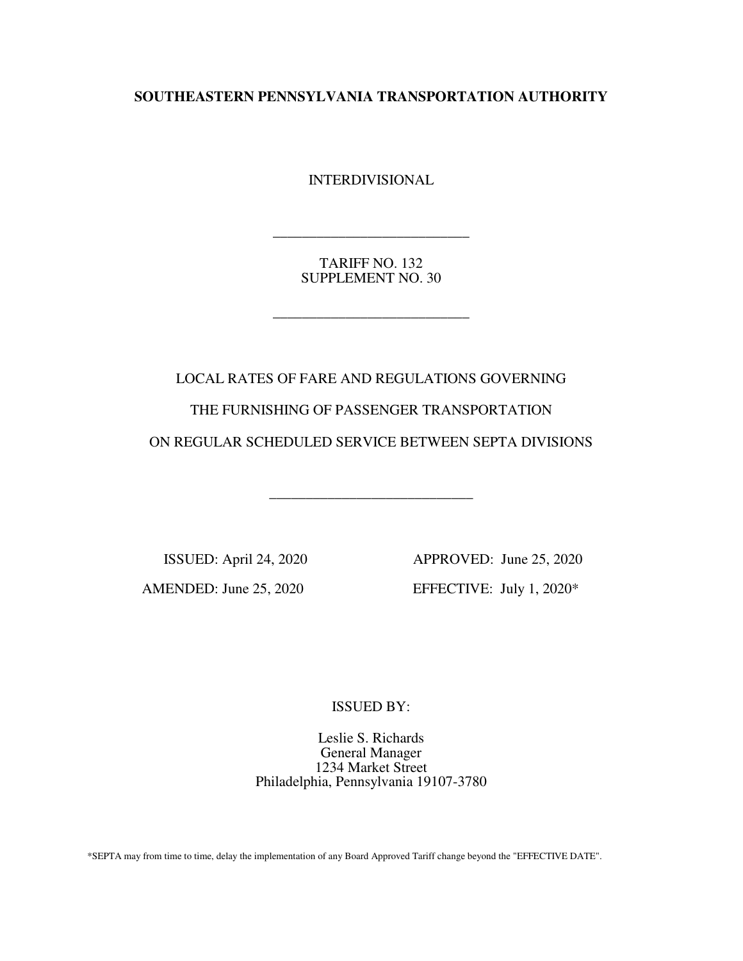**SOUTHEASTERN PENNSYLVANIA TRANSPORTATION AUTHORITY** 

INTERDIVISIONAL

TARIFF NO. 132 SUPPLEMENT NO. 30

\_\_\_\_\_\_\_\_\_\_\_\_\_\_\_\_\_\_\_\_\_\_\_\_\_\_\_

\_\_\_\_\_\_\_\_\_\_\_\_\_\_\_\_\_\_\_\_\_\_\_\_\_\_\_

LOCAL RATES OF FARE AND REGULATIONS GOVERNING THE FURNISHING OF PASSENGER TRANSPORTATION ON REGULAR SCHEDULED SERVICE BETWEEN SEPTA DIVISIONS

\_\_\_\_\_\_\_\_\_\_\_\_\_\_\_\_\_\_\_\_\_\_\_\_\_\_\_\_

 ISSUED: April 24, 2020 APPROVED: June 25, 2020 AMENDED: June 25, 2020 EFFECTIVE: July 1, 2020\*

ISSUED BY:

Leslie S. Richards General Manager 1234 Market Street Philadelphia, Pennsylvania 19107-3780

\*SEPTA may from time to time, delay the implementation of any Board Approved Tariff change beyond the "EFFECTIVE DATE".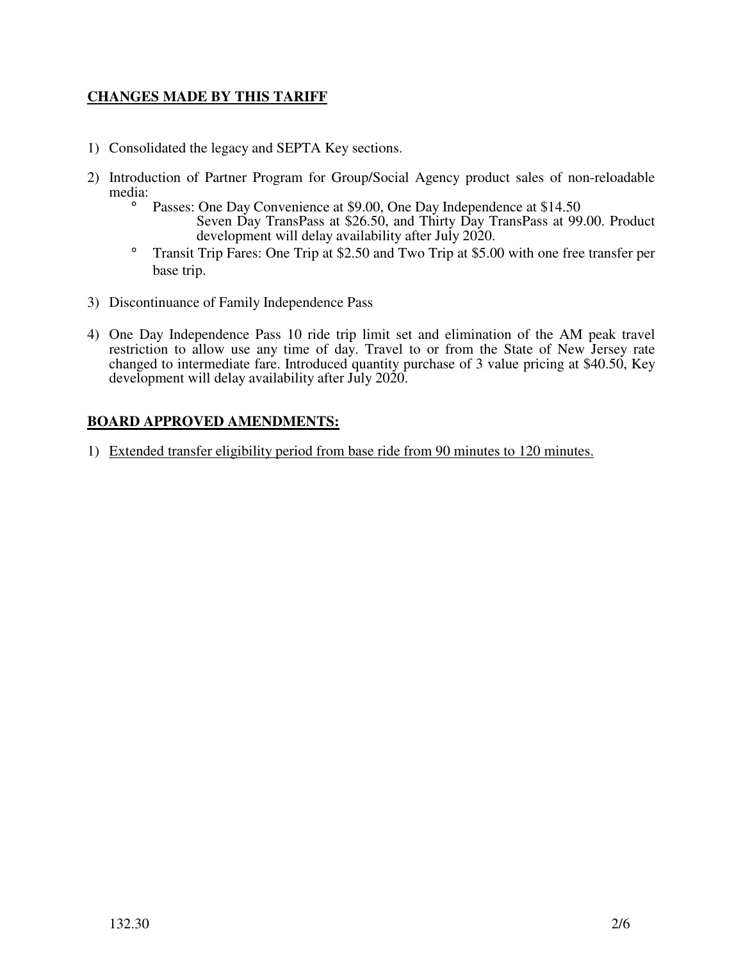# **CHANGES MADE BY THIS TARIFF**

- 1) Consolidated the legacy and SEPTA Key sections.
- 2) Introduction of Partner Program for Group/Social Agency product sales of non-reloadable media:
	- ° Passes: One Day Convenience at \$9.00, One Day Independence at \$14.50 Seven Day TransPass at \$26.50, and Thirty Day TransPass at 99.00. Product development will delay availability after July 2020.
	- ° Transit Trip Fares: One Trip at \$2.50 and Two Trip at \$5.00 with one free transfer per base trip.
- 3) Discontinuance of Family Independence Pass
- 4) One Day Independence Pass 10 ride trip limit set and elimination of the AM peak travel restriction to allow use any time of day. Travel to or from the State of New Jersey rate changed to intermediate fare. Introduced quantity purchase of 3 value pricing at \$40.50, Key development will delay availability after July 2020.

# **BOARD APPROVED AMENDMENTS:**

1) Extended transfer eligibility period from base ride from 90 minutes to 120 minutes.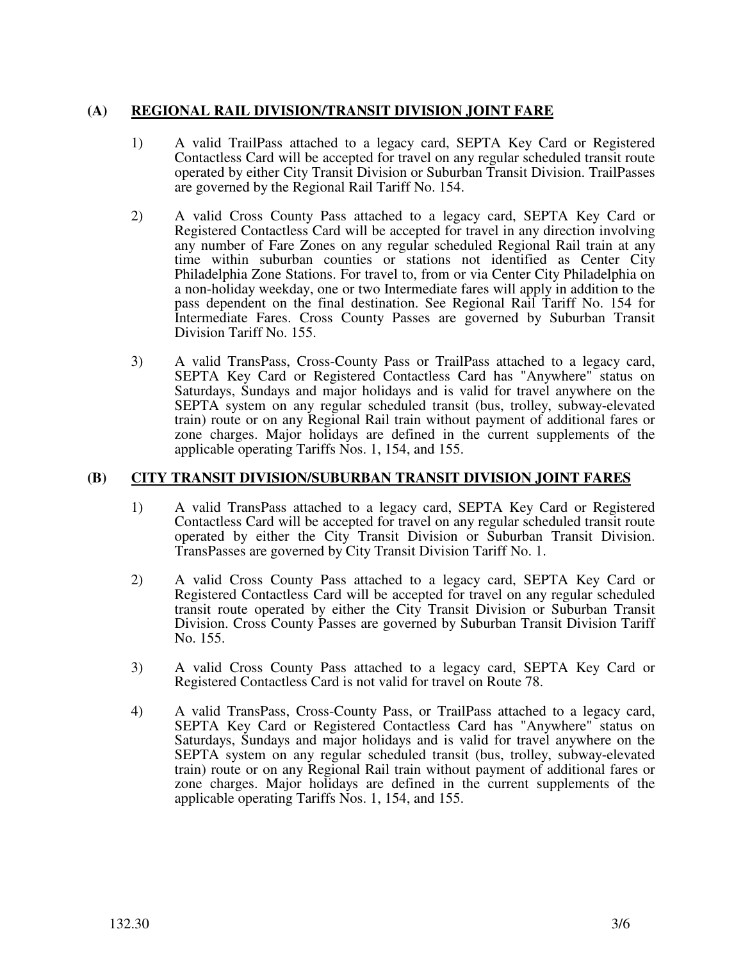# **(A) REGIONAL RAIL DIVISION/TRANSIT DIVISION JOINT FARE**

- 1) A valid TrailPass attached to a legacy card, SEPTA Key Card or Registered Contactless Card will be accepted for travel on any regular scheduled transit route operated by either City Transit Division or Suburban Transit Division. TrailPasses are governed by the Regional Rail Tariff No. 154.
- 2) A valid Cross County Pass attached to a legacy card, SEPTA Key Card or Registered Contactless Card will be accepted for travel in any direction involving any number of Fare Zones on any regular scheduled Regional Rail train at any time within suburban counties or stations not identified as Center City Philadelphia Zone Stations. For travel to, from or via Center City Philadelphia on a non-holiday weekday, one or two Intermediate fares will apply in addition to the pass dependent on the final destination. See Regional Rail Tariff No. 154 for Intermediate Fares. Cross County Passes are governed by Suburban Transit Division Tariff No. 155.
- 3) A valid TransPass, Cross-County Pass or TrailPass attached to a legacy card, SEPTA Key Card or Registered Contactless Card has "Anywhere" status on Saturdays, Sundays and major holidays and is valid for travel anywhere on the SEPTA system on any regular scheduled transit (bus, trolley, subway-elevated train) route or on any Regional Rail train without payment of additional fares or zone charges. Major holidays are defined in the current supplements of the applicable operating Tariffs Nos. 1, 154, and 155.

#### **(B) CITY TRANSIT DIVISION/SUBURBAN TRANSIT DIVISION JOINT FARES**

- 1) A valid TransPass attached to a legacy card, SEPTA Key Card or Registered Contactless Card will be accepted for travel on any regular scheduled transit route operated by either the City Transit Division or Suburban Transit Division. TransPasses are governed by City Transit Division Tariff No. 1.
- 2) A valid Cross County Pass attached to a legacy card, SEPTA Key Card or Registered Contactless Card will be accepted for travel on any regular scheduled transit route operated by either the City Transit Division or Suburban Transit Division. Cross County Passes are governed by Suburban Transit Division Tariff No. 155.
- 3) A valid Cross County Pass attached to a legacy card, SEPTA Key Card or Registered Contactless Card is not valid for travel on Route 78.
- 4) A valid TransPass, Cross-County Pass, or TrailPass attached to a legacy card, SEPTA Key Card or Registered Contactless Card has "Anywhere" status on Saturdays, Sundays and major holidays and is valid for travel anywhere on the SEPTA system on any regular scheduled transit (bus, trolley, subway-elevated train) route or on any Regional Rail train without payment of additional fares or zone charges. Major holidays are defined in the current supplements of the applicable operating Tariffs Nos. 1, 154, and 155.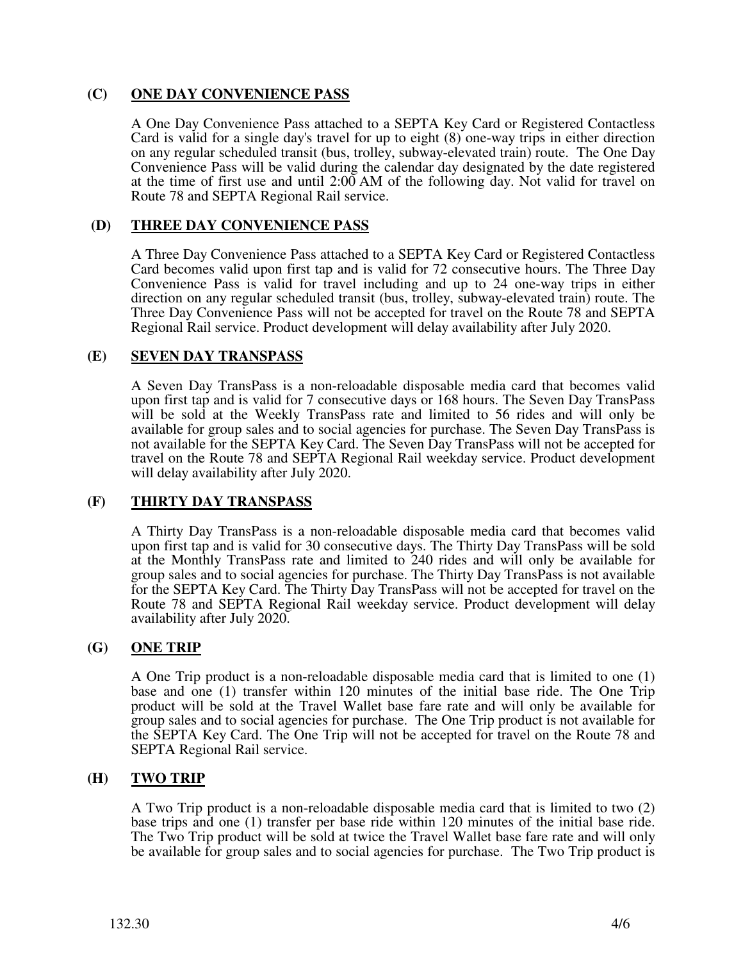## **(C) ONE DAY CONVENIENCE PASS**

A One Day Convenience Pass attached to a SEPTA Key Card or Registered Contactless Card is valid for a single day's travel for up to eight (8) one-way trips in either direction on any regular scheduled transit (bus, trolley, subway-elevated train) route. The One Day Convenience Pass will be valid during the calendar day designated by the date registered at the time of first use and until 2:00 AM of the following day. Not valid for travel on Route 78 and SEPTA Regional Rail service.

### **(D) THREE DAY CONVENIENCE PASS**

A Three Day Convenience Pass attached to a SEPTA Key Card or Registered Contactless Card becomes valid upon first tap and is valid for 72 consecutive hours. The Three Day Convenience Pass is valid for travel including and up to 24 one-way trips in either direction on any regular scheduled transit (bus, trolley, subway-elevated train) route. The Three Day Convenience Pass will not be accepted for travel on the Route 78 and SEPTA Regional Rail service. Product development will delay availability after July 2020.

## **(E) SEVEN DAY TRANSPASS**

A Seven Day TransPass is a non-reloadable disposable media card that becomes valid upon first tap and is valid for 7 consecutive days or 168 hours. The Seven Day TransPass will be sold at the Weekly TransPass rate and limited to 56 rides and will only be available for group sales and to social agencies for purchase. The Seven Day TransPass is not available for the SEPTA Key Card. The Seven Day TransPass will not be accepted for travel on the Route 78 and SEPTA Regional Rail weekday service. Product development will delay availability after July 2020.

# **(F) THIRTY DAY TRANSPASS**

A Thirty Day TransPass is a non-reloadable disposable media card that becomes valid upon first tap and is valid for 30 consecutive days. The Thirty Day TransPass will be sold at the Monthly TransPass rate and limited to 240 rides and will only be available for group sales and to social agencies for purchase. The Thirty Day TransPass is not available for the SEPTA Key Card. The Thirty Day TransPass will not be accepted for travel on the Route 78 and SEPTA Regional Rail weekday service. Product development will delay availability after July 2020.

#### **(G) ONE TRIP**

A One Trip product is a non-reloadable disposable media card that is limited to one (1) base and one (1) transfer within 120 minutes of the initial base ride. The One Trip product will be sold at the Travel Wallet base fare rate and will only be available for group sales and to social agencies for purchase. The One Trip product is not available for the SEPTA Key Card. The One Trip will not be accepted for travel on the Route 78 and SEPTA Regional Rail service.

# **(H) TWO TRIP**

A Two Trip product is a non-reloadable disposable media card that is limited to two (2) base trips and one (1) transfer per base ride within 120 minutes of the initial base ride. The Two Trip product will be sold at twice the Travel Wallet base fare rate and will only be available for group sales and to social agencies for purchase. The Two Trip product is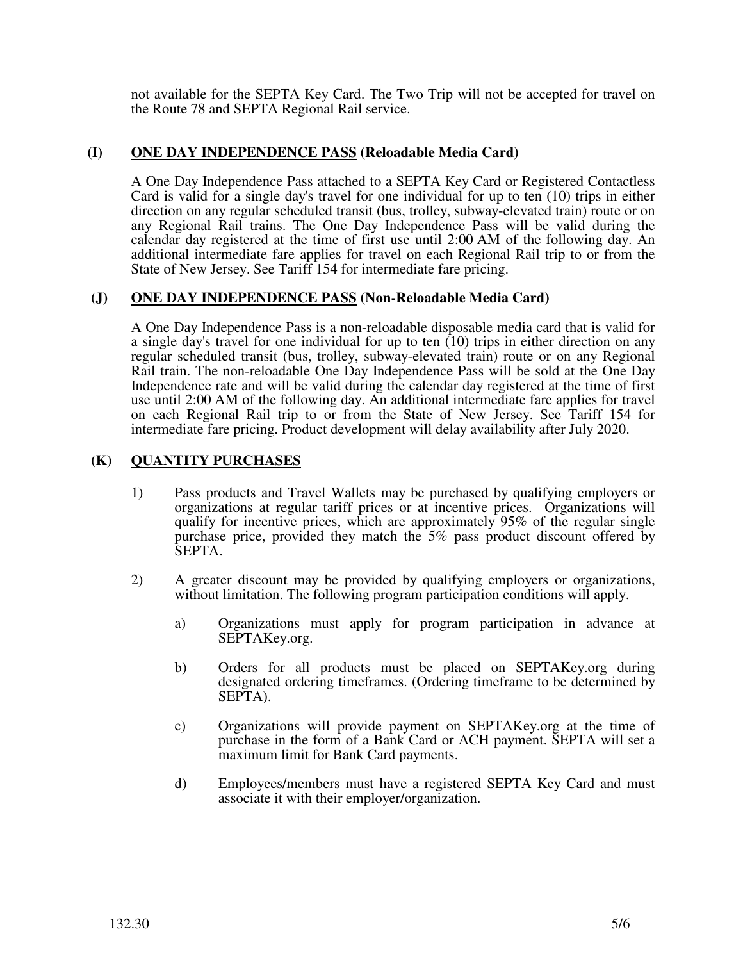not available for the SEPTA Key Card. The Two Trip will not be accepted for travel on the Route 78 and SEPTA Regional Rail service.

## **(I) ONE DAY INDEPENDENCE PASS (Reloadable Media Card)**

A One Day Independence Pass attached to a SEPTA Key Card or Registered Contactless Card is valid for a single day's travel for one individual for up to ten (10) trips in either direction on any regular scheduled transit (bus, trolley, subway-elevated train) route or on any Regional Rail trains. The One Day Independence Pass will be valid during the calendar day registered at the time of first use until 2:00 AM of the following day. An additional intermediate fare applies for travel on each Regional Rail trip to or from the State of New Jersey. See Tariff 154 for intermediate fare pricing.

## **(J) ONE DAY INDEPENDENCE PASS (Non-Reloadable Media Card)**

A One Day Independence Pass is a non-reloadable disposable media card that is valid for a single day's travel for one individual for up to ten  $(10)$  trips in either direction on any regular scheduled transit (bus, trolley, subway-elevated train) route or on any Regional Rail train. The non-reloadable One Day Independence Pass will be sold at the One Day Independence rate and will be valid during the calendar day registered at the time of first use until 2:00 AM of the following day. An additional intermediate fare applies for travel on each Regional Rail trip to or from the State of New Jersey. See Tariff 154 for intermediate fare pricing. Product development will delay availability after July 2020.

## **(K) QUANTITY PURCHASES**

- 1) Pass products and Travel Wallets may be purchased by qualifying employers or organizations at regular tariff prices or at incentive prices. Organizations will qualify for incentive prices, which are approximately 95% of the regular single purchase price, provided they match the 5% pass product discount offered by SEPTA.
- 2) A greater discount may be provided by qualifying employers or organizations, without limitation. The following program participation conditions will apply.
	- a) Organizations must apply for program participation in advance at SEPTAKey.org.
	- b) Orders for all products must be placed on SEPTAKey.org during designated ordering timeframes. (Ordering timeframe to be determined by SEPTA).
	- c) Organizations will provide payment on SEPTAKey.org at the time of purchase in the form of a Bank Card or ACH payment. SEPTA will set a maximum limit for Bank Card payments.
	- d) Employees/members must have a registered SEPTA Key Card and must associate it with their employer/organization.